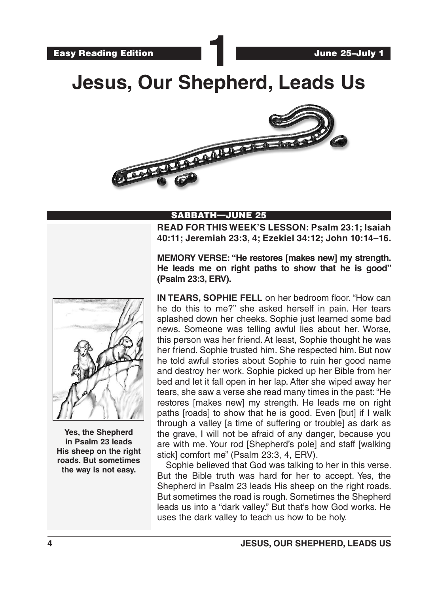# **Jesus, Our Shepherd, Leads Us**



# SABBATH—JUNE 25

**READ FOR THIS WEEK'S LESSON: Psalm 23:1; Isaiah 40:11; Jeremiah 23:3, 4; Ezekiel 34:12; John 10:14–16.**

**MEMORY VERSE: "He restores [makes new] my strength. He leads me on right paths to show that he is good" (Psalm 23:3, ERV).**



**Yes, the Shepherd in Psalm 23 leads His sheep on the right roads. But sometimes the way is not easy.**

**IN TEARS, SOPHIE FELL** on her bedroom floor. "How can he do this to me?" she asked herself in pain. Her tears splashed down her cheeks. Sophie just learned some bad news. Someone was telling awful lies about her. Worse, this person was her friend. At least, Sophie thought he was her friend. Sophie trusted him. She respected him. But now he told awful stories about Sophie to ruin her good name and destroy her work. Sophie picked up her Bible from her bed and let it fall open in her lap. After she wiped away her tears, she saw a verse she read many times in the past: "He restores [makes new] my strength. He leads me on right paths [roads] to show that he is good. Even [but] if I walk through a valley [a time of suffering or trouble] as dark as the grave, I will not be afraid of any danger, because you are with me. Your rod [Shepherd's pole] and staff [walking stick] comfort me" (Psalm 23:3, 4, ERV).

Sophie believed that God was talking to her in this verse. But the Bible truth was hard for her to accept. Yes, the Shepherd in Psalm 23 leads His sheep on the right roads. But sometimes the road is rough. Sometimes the Shepherd leads us into a "dark valley." But that's how God works. He uses the dark valley to teach us how to be holy.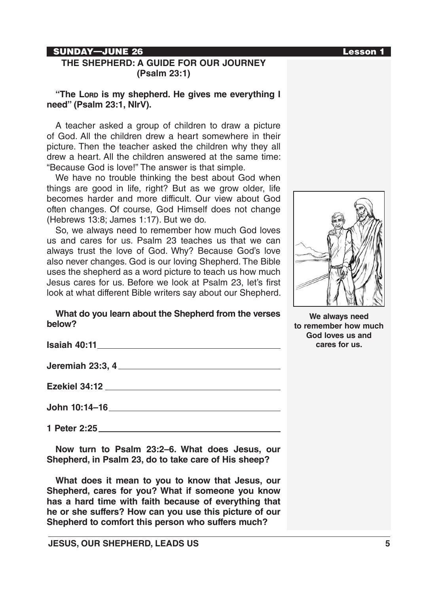#### SUNDAY—JUNE 26 Lesson 1

# **THE SHEPHERD: A GUIDE FOR OUR JOURNEY (Psalm 23:1)**

**"The Lord is my shepherd. He gives me everything I need" (Psalm 23:1, NIrV).** 

A teacher asked a group of children to draw a picture of God. All the children drew a heart somewhere in their picture. Then the teacher asked the children why they all drew a heart. All the children answered at the same time: "Because God is love!" The answer is that simple.

We have no trouble thinking the best about God when things are good in life, right? But as we grow older, life becomes harder and more difficult. Our view about God often changes. Of course, God Himself does not change (Hebrews 13:8; James 1:17). But we do.

So, we always need to remember how much God loves us and cares for us. Psalm 23 teaches us that we can always trust the love of God. Why? Because God's love also never changes. God is our loving Shepherd. The Bible uses the shepherd as a word picture to teach us how much Jesus cares for us. Before we look at Psalm 23, let's first look at what different Bible writers say about our Shepherd.

#### **What do you learn about the Shepherd from the verses below?**

| 1 Peter 2:25 <u>and 200 meters</u> and 200 meters and 200 meters and 200 meters and 200 meters and 200 meters and 200 meters and 200 meters and 200 meters and 200 meters and 200 meters and 200 meters and 200 meters and 200 mete |
|-------------------------------------------------------------------------------------------------------------------------------------------------------------------------------------------------------------------------------------|
|                                                                                                                                                                                                                                     |

**Now turn to Psalm 23:2–6. What does Jesus, our Shepherd, in Psalm 23, do to take care of His sheep?**

**What does it mean to you to know that Jesus, our Shepherd, cares for you? What if someone you know has a hard time with faith because of everything that he or she suffers? How can you use this picture of our Shepherd to comfort this person who suffers much?**



**We always need to remember how much God loves us and cares for us.**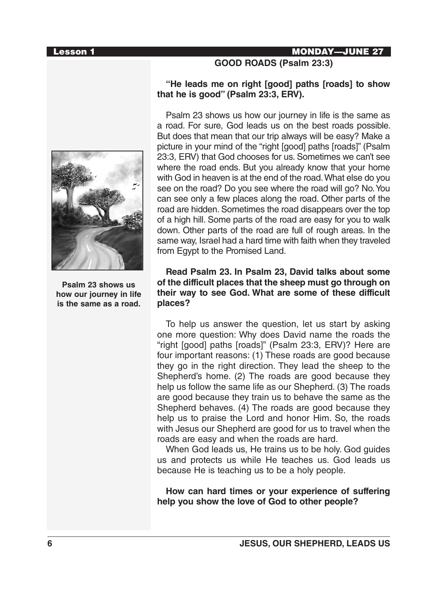#### Lesson 1 MONDAY—JUNE 27



**Psalm 23 shows us how our journey in life is the same as a road.**

# **"He leads me on right [good] paths [roads] to show that he is good" (Psalm 23:3, ERV).**

**GOOD ROADS (Psalm 23:3)**

Psalm 23 shows us how our journey in life is the same as a road. For sure, God leads us on the best roads possible. But does that mean that our trip always will be easy? Make a picture in your mind of the "right [good] paths [roads]" (Psalm 23:3, ERV) that God chooses for us. Sometimes we can't see where the road ends. But you already know that your home with God in heaven is at the end of the road. What else do you see on the road? Do you see where the road will go? No. You can see only a few places along the road. Other parts of the road are hidden. Sometimes the road disappears over the top of a high hill. Some parts of the road are easy for you to walk down. Other parts of the road are full of rough areas. In the same way, Israel had a hard time with faith when they traveled from Egypt to the Promised Land.

# **Read Psalm 23. In Psalm 23, David talks about some of the difficult places that the sheep must go through on their way to see God. What are some of these difficult places?**

To help us answer the question, let us start by asking one more question: Why does David name the roads the "right [good] paths [roads]" (Psalm 23:3, ERV)? Here are four important reasons: (1) These roads are good because they go in the right direction. They lead the sheep to the Shepherd's home. (2) The roads are good because they help us follow the same life as our Shepherd. (3) The roads are good because they train us to behave the same as the Shepherd behaves. (4) The roads are good because they help us to praise the Lord and honor Him. So, the roads with Jesus our Shepherd are good for us to travel when the roads are easy and when the roads are hard.

When God leads us, He trains us to be holy. God guides us and protects us while He teaches us. God leads us because He is teaching us to be a holy people.

**How can hard times or your experience of suffering help you show the love of God to other people?**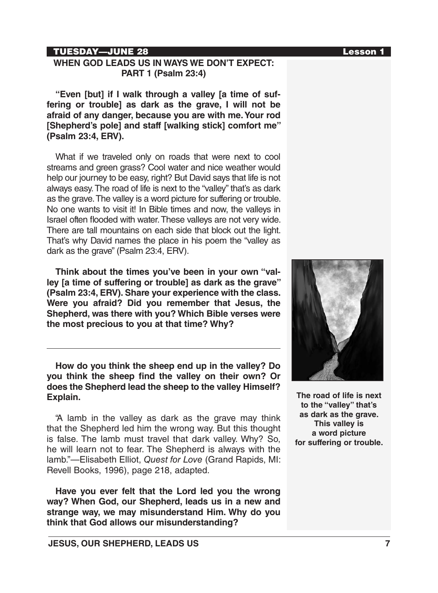# TUESDAY—JUNE 28 Lesson 1

# **WHEN GOD LEADS US IN WAYS WE DON'T EXPECT: PART 1 (Psalm 23:4)**

**"Even [but] if I walk through a valley [a time of suffering or trouble] as dark as the grave, I will not be afraid of any danger, because you are with me. Your rod [Shepherd's pole] and staff [walking stick] comfort me" (Psalm 23:4, ERV).**

What if we traveled only on roads that were next to cool streams and green grass? Cool water and nice weather would help our journey to be easy, right? But David says that life is not always easy. The road of life is next to the "valley" that's as dark as the grave. The valley is a word picture for suffering or trouble. No one wants to visit it! In Bible times and now, the valleys in Israel often flooded with water. These valleys are not very wide. There are tall mountains on each side that block out the light. That's why David names the place in his poem the "valley as dark as the grave" (Psalm 23:4, ERV).

**Think about the times you've been in your own "valley [a time of suffering or trouble] as dark as the grave" (Psalm 23:4, ERV). Share your experience with the class. Were you afraid? Did you remember that Jesus, the Shepherd, was there with you? Which Bible verses were the most precious to you at that time? Why?**

**How do you think the sheep end up in the valley? Do you think the sheep find the valley on their own? Or does the Shepherd lead the sheep to the valley Himself? Explain.**

"A lamb in the valley as dark as the grave may think that the Shepherd led him the wrong way. But this thought is false. The lamb must travel that dark valley. Why? So, he will learn not to fear. The Shepherd is always with the lamb."—Elisabeth Elliot, *Quest for Love* (Grand Rapids, MI: Revell Books, 1996), page 218, adapted.

**Have you ever felt that the Lord led you the wrong way? When God, our Shepherd, leads us in a new and strange way, we may misunderstand Him. Why do you think that God allows our misunderstanding?**



**The road of life is next to the "valley" that's as dark as the grave. This valley is a word picture for suffering or trouble.**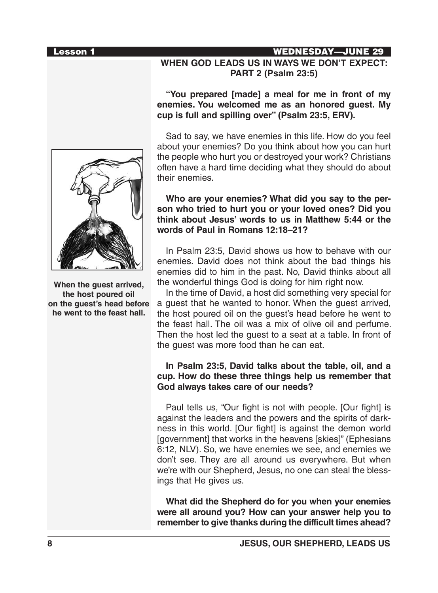**When the guest arrived, the host poured oil on the guest's head before he went to the feast hall.**

# Lesson 1 WEDNESDAY—JUNE 29

# **WHEN GOD LEADS US IN WAYS WE DON'T EXPECT: PART 2 (Psalm 23:5)**

# **"You prepared [made] a meal for me in front of my enemies. You welcomed me as an honored guest. My cup is full and spilling over" (Psalm 23:5, ERV).**

Sad to say, we have enemies in this life. How do you feel about your enemies? Do you think about how you can hurt the people who hurt you or destroyed your work? Christians often have a hard time deciding what they should do about their enemies.

# **Who are your enemies? What did you say to the person who tried to hurt you or your loved ones? Did you think about Jesus' words to us in Matthew 5:44 or the words of Paul in Romans 12:18–21?**

In Psalm 23:5, David shows us how to behave with our enemies. David does not think about the bad things his enemies did to him in the past. No, David thinks about all the wonderful things God is doing for him right now.

In the time of David, a host did something very special for a guest that he wanted to honor. When the guest arrived, the host poured oil on the guest's head before he went to the feast hall. The oil was a mix of olive oil and perfume. Then the host led the guest to a seat at a table. In front of the guest was more food than he can eat.

# **In Psalm 23:5, David talks about the table, oil, and a cup. How do these three things help us remember that God always takes care of our needs?**

Paul tells us, "Our fight is not with people. [Our fight] is against the leaders and the powers and the spirits of darkness in this world. [Our fight] is against the demon world [government] that works in the heavens [skies]" (Ephesians 6:12, NLV). So, we have enemies we see, and enemies we don't see. They are all around us everywhere. But when we're with our Shepherd, Jesus, no one can steal the blessings that He gives us.

**What did the Shepherd do for you when your enemies were all around you? How can your answer help you to remember to give thanks during the difficult times ahead?**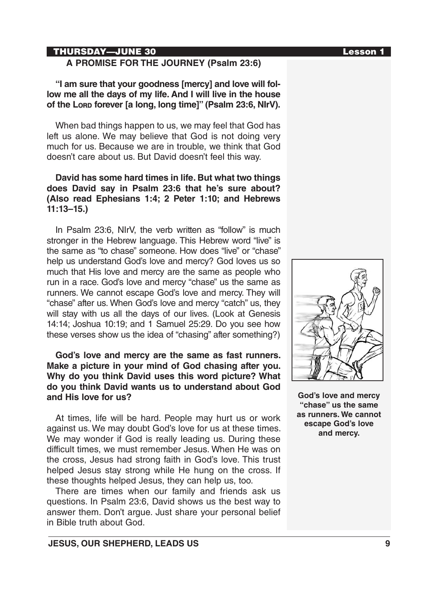# THURSDAY—JUNE 30 Lesson 1

# **A PROMISE FOR THE JOURNEY (Psalm 23:6)**

**"I am sure that your goodness [mercy] and love will follow me all the days of my life. And I will live in the house of the Lord forever [a long, long time]" (Psalm 23:6, NIrV).**

When bad things happen to us, we may feel that God has left us alone. We may believe that God is not doing very much for us. Because we are in trouble, we think that God doesn't care about us. But David doesn't feel this way.

# **David has some hard times in life. But what two things does David say in Psalm 23:6 that he's sure about? (Also read Ephesians 1:4; 2 Peter 1:10; and Hebrews 11:13–15.)**

In Psalm 23:6, NIrV, the verb written as "follow" is much stronger in the Hebrew language. This Hebrew word "live" is the same as "to chase" someone. How does "live" or "chase" help us understand God's love and mercy? God loves us so much that His love and mercy are the same as people who run in a race. God's love and mercy "chase" us the same as runners. We cannot escape God's love and mercy. They will "chase" after us. When God's love and mercy "catch" us, they will stay with us all the days of our lives. (Look at Genesis 14:14; Joshua 10:19; and 1 Samuel 25:29. Do you see how these verses show us the idea of "chasing" after something?)

**God's love and mercy are the same as fast runners. Make a picture in your mind of God chasing after you. Why do you think David uses this word picture? What do you think David wants us to understand about God and His love for us?**

At times, life will be hard. People may hurt us or work against us. We may doubt God's love for us at these times. We may wonder if God is really leading us. During these difficult times, we must remember Jesus. When He was on the cross, Jesus had strong faith in God's love. This trust helped Jesus stay strong while He hung on the cross. If these thoughts helped Jesus, they can help us, too.

There are times when our family and friends ask us questions. In Psalm 23:6, David shows us the best way to answer them. Don't argue. Just share your personal belief in Bible truth about God.



**God's love and mercy "chase" us the same as runners. We cannot escape God's love and mercy.**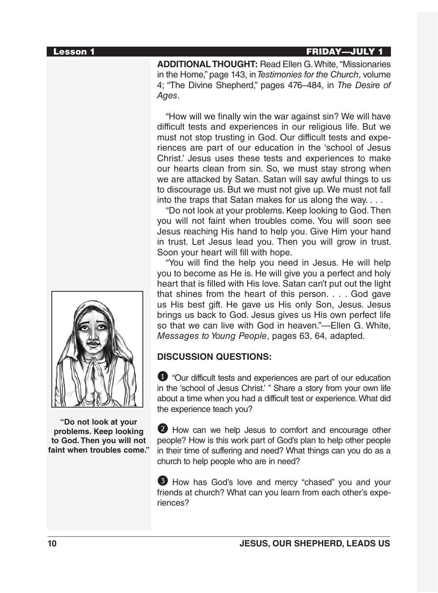# Lesson 1 FRIDAY—JULY 1

**ADDITIONAL THOUGHT:** Read Ellen G. White, "Missionaries in the Home," page 143, in *Testimonies for the Church*, volume 4; "The Divine Shepherd," pages 476–484, in *The Desire of Ages*.

"How will we finally win the war against sin? We will have difficult tests and experiences in our religious life. But we must not stop trusting in God. Our difficult tests and experiences are part of our education in the 'school of Jesus Christ.' Jesus uses these tests and experiences to make our hearts clean from sin. So, we must stay strong when we are attacked by Satan. Satan will say awful things to us to discourage us. But we must not give up. We must not fall into the traps that Satan makes for us along the way. . . .

"Do not look at your problems. Keep looking to God. Then you will not faint when troubles come. You will soon see Jesus reaching His hand to help you. Give Him your hand in trust. Let Jesus lead you. Then you will grow in trust. Soon your heart will fill with hope.

"You will find the help you need in Jesus. He will help you to become as He is. He will give you a perfect and holy heart that is filled with His love. Satan can't put out the light that shines from the heart of this person. . . . God gave us His best gift. He gave us His only Son, Jesus. Jesus brings us back to God. Jesus gives us His own perfect life so that we can live with God in heaven."—Ellen G. White, *Messages to Young People*, pages 63, 64, adapted.

# **DISCUSSION QUESTIONS:**

1 "Our difficult tests and experiences are part of our education in the 'school of Jesus Christ.' " Share a story from your own life about a time when you had a difficult test or experience. What did the experience teach you?

2 How can we help Jesus to comfort and encourage other people? How is this work part of God's plan to help other people in their time of suffering and need? What things can you do as a church to help people who are in need?

3 How has God's love and mercy "chased" you and your friends at church? What can you learn from each other's experiences?



**"Do not look at your problems. Keep looking to God. Then you will not faint when troubles come."**